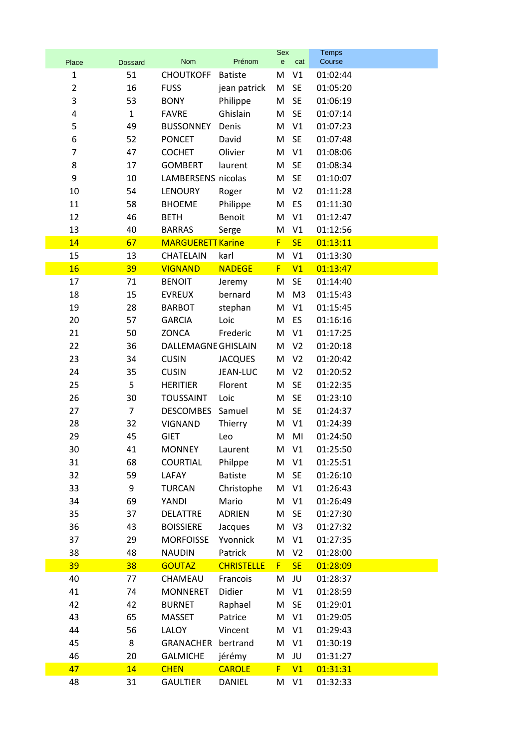|                |                |                            |                   | Sex          |                | <b>Temps</b> |
|----------------|----------------|----------------------------|-------------------|--------------|----------------|--------------|
| Place          | <b>Dossard</b> | <b>Nom</b>                 | Prénom            | $\mathbf{e}$ | cat            | Course       |
| $\mathbf 1$    | 51             | <b>CHOUTKOFF</b>           | <b>Batiste</b>    | M            | V1             | 01:02:44     |
| $\overline{2}$ | 16             | <b>FUSS</b>                | jean patrick      | M            | <b>SE</b>      | 01:05:20     |
| 3              | 53             | <b>BONY</b>                | Philippe          | M            | <b>SE</b>      | 01:06:19     |
| 4              | $\mathbf{1}$   | <b>FAVRE</b>               | Ghislain          | M            | <b>SE</b>      | 01:07:14     |
| 5              | 49             | <b>BUSSONNEY</b>           | Denis             | M            | V1             | 01:07:23     |
| 6              | 52             | <b>PONCET</b>              | David             | M            | <b>SE</b>      | 01:07:48     |
| 7              | 47             | <b>COCHET</b>              | Olivier           | M            | V1             | 01:08:06     |
| 8              | 17             | <b>GOMBERT</b>             | laurent           | M            | <b>SE</b>      | 01:08:34     |
| 9              | 10             | LAMBERSENS nicolas         |                   | M            | <b>SE</b>      | 01:10:07     |
| 10             | 54             | <b>LENOURY</b>             | Roger             | M            | V <sub>2</sub> | 01:11:28     |
| 11             | 58             | <b>BHOEME</b>              | Philippe          | M            | ES             | 01:11:30     |
| 12             | 46             | <b>BETH</b>                | Benoit            | M            | V1             | 01:12:47     |
|                |                |                            |                   |              |                |              |
| 13             | 40             | <b>BARRAS</b>              | Serge             | M            | V <sub>1</sub> | 01:12:56     |
| 14             | 67             | <b>MARGUERETT Karine</b>   |                   | F            | <b>SE</b>      | 01:13:11     |
| 15             | 13             | <b>CHATELAIN</b>           | karl              | M            | V <sub>1</sub> | 01:13:30     |
| 16             | 39             | <b>VIGNAND</b>             | <b>NADEGE</b>     | F.           | V1             | 01:13:47     |
| 17             | 71             | <b>BENOIT</b>              | Jeremy            | M            | <b>SE</b>      | 01:14:40     |
| 18             | 15             | <b>EVREUX</b>              | bernard           | M            | M <sub>3</sub> | 01:15:43     |
| 19             | 28             | <b>BARBOT</b>              | stephan           | M            | V1             | 01:15:45     |
| 20             | 57             | <b>GARCIA</b>              | Loic              | M            | ES             | 01:16:16     |
| 21             | 50             | <b>ZONCA</b>               | Frederic          | M            | V1             | 01:17:25     |
| 22             | 36             | <b>DALLEMAGNE GHISLAIN</b> |                   | M            | V <sub>2</sub> | 01:20:18     |
| 23             | 34             | <b>CUSIN</b>               | <b>JACQUES</b>    | M            | V <sub>2</sub> | 01:20:42     |
| 24             | 35             | <b>CUSIN</b>               | <b>JEAN-LUC</b>   | M            | V <sub>2</sub> | 01:20:52     |
| 25             | 5              | <b>HERITIER</b>            | Florent           | M            | <b>SE</b>      | 01:22:35     |
| 26             | 30             | <b>TOUSSAINT</b>           | Loic              | M            | <b>SE</b>      | 01:23:10     |
| 27             | 7              | DESCOMBES                  | Samuel            | M            | <b>SE</b>      | 01:24:37     |
| 28             | 32             | <b>VIGNAND</b>             | Thierry           | M            | V1             | 01:24:39     |
| 29             | 45             | <b>GIET</b>                | Leo               | M            | MI             | 01:24:50     |
| 30             | 41             | <b>MONNEY</b>              | Laurent           | M            | V1             | 01:25:50     |
| 31             | 68             | <b>COURTIAL</b>            | Philppe           | M            | V1             | 01:25:51     |
| 32             | 59             | LAFAY                      | <b>Batiste</b>    | M            | <b>SE</b>      | 01:26:10     |
| 33             | 9              | <b>TURCAN</b>              | Christophe        | M            | V1             | 01:26:43     |
| 34             | 69             | YANDI                      | Mario             | M            | V <sub>1</sub> | 01:26:49     |
| 35             | 37             | <b>DELATTRE</b>            | ADRIEN            | M            | <b>SE</b>      | 01:27:30     |
| 36             | 43             | <b>BOISSIERE</b>           |                   | M            | V <sub>3</sub> |              |
|                |                |                            | Jacques           |              |                | 01:27:32     |
| 37             | 29             | <b>MORFOISSE</b>           | Yvonnick          | M            | V1             | 01:27:35     |
| 38             | 48             | <b>NAUDIN</b>              | Patrick           | M            | V <sub>2</sub> | 01:28:00     |
| 39             | 38             | <b>GOUTAZ</b>              | <b>CHRISTELLE</b> | F.           | <b>SE</b>      | 01:28:09     |
| 40             | 77             | CHAMEAU                    | Francois          | M            | JU             | 01:28:37     |
| 41             | 74             | <b>MONNERET</b>            | Didier            | M            | V <sub>1</sub> | 01:28:59     |
| 42             | 42             | <b>BURNET</b>              | Raphael           | M            | <b>SE</b>      | 01:29:01     |
| 43             | 65             | <b>MASSET</b>              | Patrice           | M            | V1             | 01:29:05     |
| 44             | 56             | LALOY                      | Vincent           | M            | V1             | 01:29:43     |
| 45             | 8              | <b>GRANACHER</b>           | bertrand          | M            | V1             | 01:30:19     |
| 46             | 20             | <b>GALMICHE</b>            | jérémy            | M            | JU             | 01:31:27     |
| 47             | 14             | <b>CHEN</b>                | <b>CAROLE</b>     | F            | V1             | 01:31:31     |
| 48             | 31             | <b>GAULTIER</b>            | DANIEL            | M            | V1             | 01:32:33     |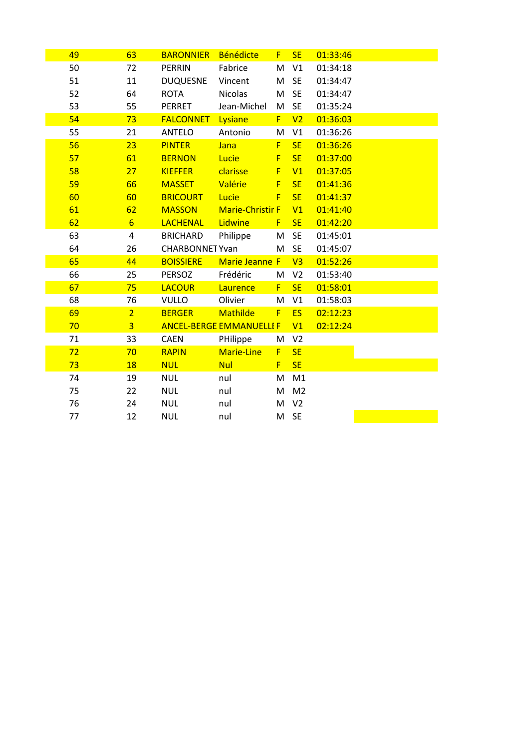| 49 | 63              | <b>BARONNIER</b>       | Bénédicte                       | F.           | <b>SE</b>      | 01:33:46 |  |
|----|-----------------|------------------------|---------------------------------|--------------|----------------|----------|--|
| 50 | 72              | <b>PERRIN</b>          | Fabrice                         | M            | V1             | 01:34:18 |  |
| 51 | 11              | <b>DUQUESNE</b>        | Vincent                         | M            | <b>SE</b>      | 01:34:47 |  |
| 52 | 64              | <b>ROTA</b>            | <b>Nicolas</b>                  | M            | <b>SE</b>      | 01:34:47 |  |
| 53 | 55              | <b>PERRET</b>          | Jean-Michel                     | M            | <b>SE</b>      | 01:35:24 |  |
| 54 | 73              | <b>FALCONNET</b>       | Lysiane                         | F            | V <sub>2</sub> | 01:36:03 |  |
| 55 | 21              | <b>ANTELO</b>          | Antonio                         | M            | V1             | 01:36:26 |  |
| 56 | 23              | <b>PINTER</b>          | Jana                            | F            | <b>SE</b>      | 01:36:26 |  |
| 57 | 61              | <b>BERNON</b>          | Lucie                           | F            | <b>SE</b>      | 01:37:00 |  |
| 58 | 27              | <b>KIEFFER</b>         | clarisse                        | F            | V1             | 01:37:05 |  |
| 59 | 66              | <b>MASSET</b>          | Valérie                         | $\mathsf{F}$ | <b>SE</b>      | 01:41:36 |  |
| 60 | 60              | <b>BRICOURT</b>        | Lucie                           | F            | <b>SE</b>      | 01:41:37 |  |
| 61 | 62              | <b>MASSON</b>          | <b>Marie-Christir F</b>         |              | V1             | 01:41:40 |  |
| 62 | $6 \overline{}$ | <b>LACHENAL</b>        | Lidwine                         | F            | <b>SE</b>      | 01:42:20 |  |
| 63 | 4               | <b>BRICHARD</b>        | Philippe                        | M            | <b>SE</b>      | 01:45:01 |  |
| 64 | 26              | <b>CHARBONNET Yvan</b> |                                 | M            | <b>SE</b>      | 01:45:07 |  |
| 65 | 44              | <b>BOISSIERE</b>       | Marie Jeanne F                  |              | V3             | 01:52:26 |  |
| 66 | 25              | <b>PERSOZ</b>          | Frédéric                        | M            | V <sub>2</sub> | 01:53:40 |  |
| 67 | 75              | <b>LACOUR</b>          | Laurence                        | F            | <b>SE</b>      | 01:58:01 |  |
| 68 | 76              | <b>VULLO</b>           | Olivier                         | M            | V1             | 01:58:03 |  |
| 69 | $\overline{2}$  | <b>BERGER</b>          | <b>Mathilde</b>                 | F            | <b>ES</b>      | 02:12:23 |  |
| 70 | $\overline{3}$  |                        | <b>ANCEL-BERGE EMMANUELLI F</b> |              | V1             | 02:12:24 |  |
| 71 | 33              | <b>CAEN</b>            | PHilippe                        | M            | V <sub>2</sub> |          |  |
| 72 | 70              | <b>RAPIN</b>           | Marie-Line                      | F            | <b>SE</b>      |          |  |
| 73 | 18              | <b>NUL</b>             | <b>Nul</b>                      | F.           | <b>SE</b>      |          |  |
| 74 | 19              | <b>NUL</b>             | nul                             | M            | M1             |          |  |
| 75 | 22              | <b>NUL</b>             | nul                             | M            | M <sub>2</sub> |          |  |
| 76 | 24              | <b>NUL</b>             | nul                             | M            | V <sub>2</sub> |          |  |
| 77 | 12              | <b>NUL</b>             | nul                             |              | M SE           |          |  |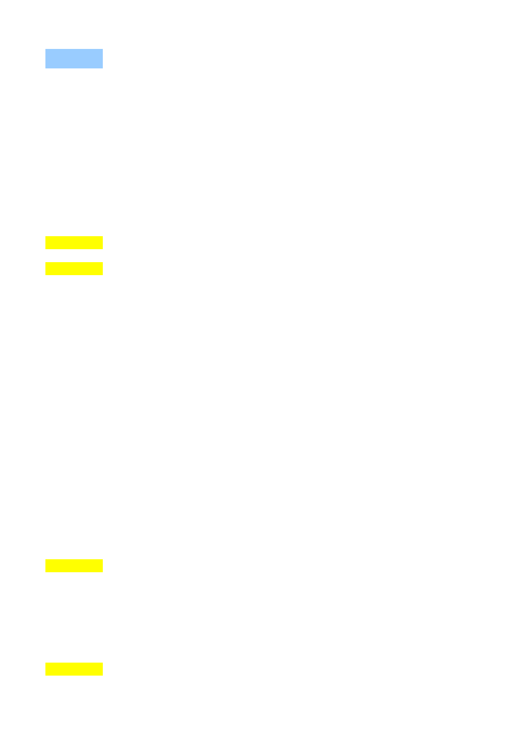$\sim 10^{11}$ 

 $\mathcal{L}^{\text{max}}_{\text{max}}$ 

 $\mathcal{L}^{\text{max}}_{\text{max}}$